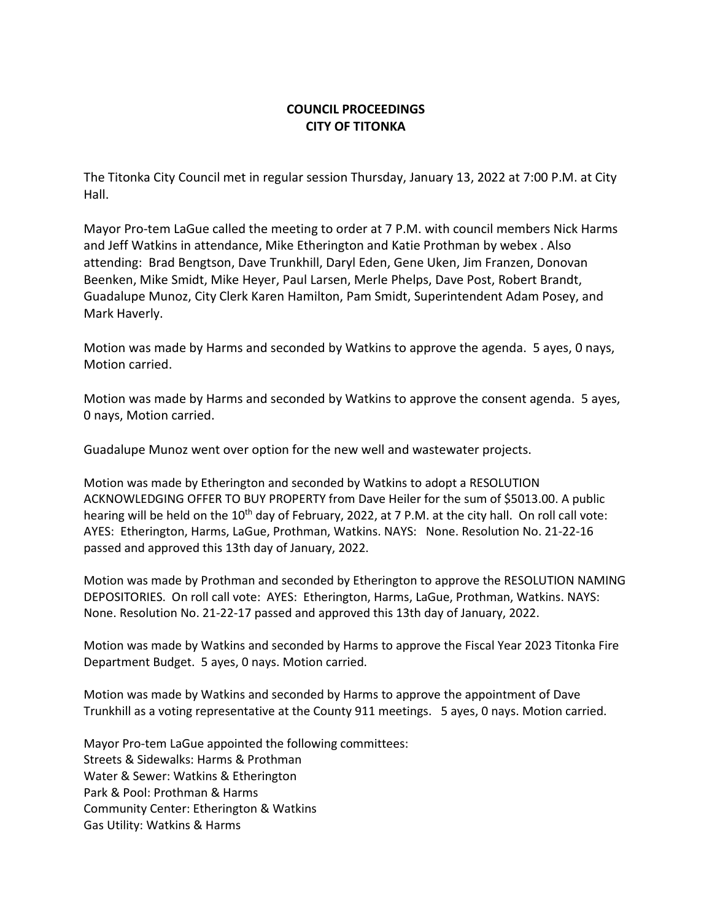## **COUNCIL PROCEEDINGS CITY OF TITONKA**

The Titonka City Council met in regular session Thursday, January 13, 2022 at 7:00 P.M. at City Hall.

Mayor Pro-tem LaGue called the meeting to order at 7 P.M. with council members Nick Harms and Jeff Watkins in attendance, Mike Etherington and Katie Prothman by webex . Also attending: Brad Bengtson, Dave Trunkhill, Daryl Eden, Gene Uken, Jim Franzen, Donovan Beenken, Mike Smidt, Mike Heyer, Paul Larsen, Merle Phelps, Dave Post, Robert Brandt, Guadalupe Munoz, City Clerk Karen Hamilton, Pam Smidt, Superintendent Adam Posey, and Mark Haverly.

Motion was made by Harms and seconded by Watkins to approve the agenda. 5 ayes, 0 nays, Motion carried.

Motion was made by Harms and seconded by Watkins to approve the consent agenda. 5 ayes, 0 nays, Motion carried.

Guadalupe Munoz went over option for the new well and wastewater projects.

Motion was made by Etherington and seconded by Watkins to adopt a RESOLUTION ACKNOWLEDGING OFFER TO BUY PROPERTY from Dave Heiler for the sum of \$5013.00. A public hearing will be held on the 10<sup>th</sup> day of February, 2022, at 7 P.M. at the city hall. On roll call vote: AYES: Etherington, Harms, LaGue, Prothman, Watkins. NAYS: None. Resolution No. 21-22-16 passed and approved this 13th day of January, 2022.

Motion was made by Prothman and seconded by Etherington to approve the RESOLUTION NAMING DEPOSITORIES. On roll call vote: AYES: Etherington, Harms, LaGue, Prothman, Watkins. NAYS: None. Resolution No. 21-22-17 passed and approved this 13th day of January, 2022.

Motion was made by Watkins and seconded by Harms to approve the Fiscal Year 2023 Titonka Fire Department Budget. 5 ayes, 0 nays. Motion carried.

Motion was made by Watkins and seconded by Harms to approve the appointment of Dave Trunkhill as a voting representative at the County 911 meetings. 5 ayes, 0 nays. Motion carried.

Mayor Pro-tem LaGue appointed the following committees: Streets & Sidewalks: Harms & Prothman Water & Sewer: Watkins & Etherington Park & Pool: Prothman & Harms Community Center: Etherington & Watkins Gas Utility: Watkins & Harms